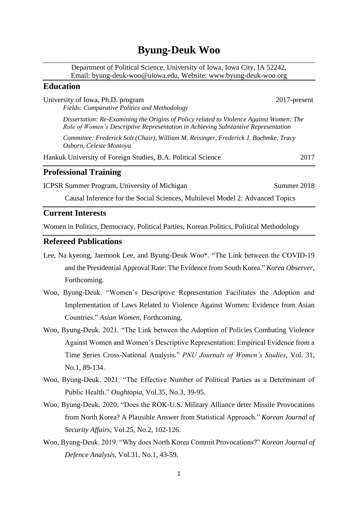# **Byung-Deuk Woo**

Department of Political Science, University of Iowa, Iowa City, IA 52242. Email: byung-deuk-woo@uiowa.edu, Website: www.byung-deuk-woo.org

## **Education**

| University of Iowa, Ph.D. program<br>Fields: Comparative Politics and Methodology                                                                                             | 2017-present |
|-------------------------------------------------------------------------------------------------------------------------------------------------------------------------------|--------------|
| Dissertation: Re-Examining the Origins of Policy related to Violence Against Women: The<br>Role of Women's Descriptive Representation in Achieving Substantive Representation |              |
| Committee: Frederick Solt (Chair), William M. Reisinger, Frederick J. Boehmke, Tracy<br>Osborn, Celeste Montoya                                                               |              |
| Hankuk University of Foreign Studies, B.A. Political Science                                                                                                                  | 2017         |
| <b>Professional Training</b>                                                                                                                                                  |              |
| <b>ICPSR Summer Program, University of Michigan</b>                                                                                                                           | Summer 2018  |
| Causal Inference for the Social Sciences, Multilevel Model 2: Advanced Topics                                                                                                 |              |

### **Current Interests**

Women in Politics, Democracy, Political Parties, Korean Politics, Political Methodology

## **Refereed Publications**

- Lee, Na kyeong, Jaemook Lee, and Byung-Deuk Woo\*. "The Link between the COVID-19 and the Presidential Approval Rate: The Evidence from South Korea." *Korea Observer,*  Forthcoming.
- Woo, Byung-Deuk. "Women's Descriptive Representation Facilitates the Adoption and Implementation of Laws Related to Violence Against Women: Evidence from Asian Countries." *Asian Women,* Forthcoming.
- Woo, Byung-Deuk. 2021. "The Link between the Adoption of Policies Combating Violence Against Women and Women's Descriptive Representation: Empirical Evidence from a Time Series Cross-National Analysis." *PNU Journals of Women's Studies*, Vol. 31, No.1, 89-134.
- Woo, Byung-Deuk. 2021. "The Effective Number of Political Parties as a Determinant of Public Health." *Oughtopia,* Vol.35, No.3, 39-95.
- Woo, Byung-Deuk. 2020. "Does the ROK-U.S. Military Alliance deter Missile Provocations from North Korea? A Plausible Answer from Statistical Approach." *Korean Journal of Security Affairs*, Vol.25, No.2, 102-126.
- Woo, Byung-Deuk. 2019. "Why does North Korea Commit Provocations?" *Korean Journal of Defence Analysis*, Vol.31, No.1, 43-59.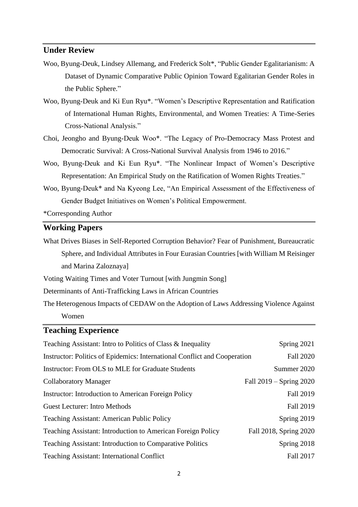## **Under Review**

- Woo, Byung-Deuk, Lindsey Allemang, and Frederick Solt\*, "Public Gender Egalitarianism: A Dataset of Dynamic Comparative Public Opinion Toward Egalitarian Gender Roles in the Public Sphere."
- Woo, Byung-Deuk and Ki Eun Ryu\*. "Women's Descriptive Representation and Ratification of International Human Rights, Environmental, and Women Treaties: A Time-Series Cross-National Analysis."
- Choi, Jeongho and Byung-Deuk Woo\*. "The Legacy of Pro-Democracy Mass Protest and Democratic Survival: A Cross-National Survival Analysis from 1946 to 2016."
- Woo, Byung-Deuk and Ki Eun Ryu\*. "The Nonlinear Impact of Women's Descriptive Representation: An Empirical Study on the Ratification of Women Rights Treaties."
- Woo, Byung-Deuk\* and Na Kyeong Lee, "An Empirical Assessment of the Effectiveness of Gender Budget Initiatives on Women's Political Empowerment.

\*Corresponding Author

## **Working Papers**

What Drives Biases in Self-Reported Corruption Behavior? Fear of Punishment, Bureaucratic Sphere, and Individual Attributes in Four Eurasian Countries [with William M Reisinger and Marina Zaloznaya]

Voting Waiting Times and Voter Turnout [with Jungmin Song]

Determinants of Anti-Trafficking Laws in African Countries

The Heterogenous Impacts of CEDAW on the Adoption of Laws Addressing Violence Against Women

## **Teaching Experience**

| Teaching Assistant: Intro to Politics of Class & Inequality               | Spring 2021             |
|---------------------------------------------------------------------------|-------------------------|
| Instructor: Politics of Epidemics: International Conflict and Cooperation | <b>Fall 2020</b>        |
| Instructor: From OLS to MLE for Graduate Students                         | Summer 2020             |
| <b>Collaboratory Manager</b>                                              | Fall 2019 – Spring 2020 |
| Instructor: Introduction to American Foreign Policy                       | <b>Fall 2019</b>        |
| <b>Guest Lecturer: Intro Methods</b>                                      | <b>Fall 2019</b>        |
| <b>Teaching Assistant: American Public Policy</b>                         | Spring 2019             |
| <b>Teaching Assistant: Introduction to American Foreign Policy</b>        | Fall 2018, Spring 2020  |
| <b>Teaching Assistant: Introduction to Comparative Politics</b>           | Spring 2018             |
| <b>Teaching Assistant: International Conflict</b>                         | <b>Fall 2017</b>        |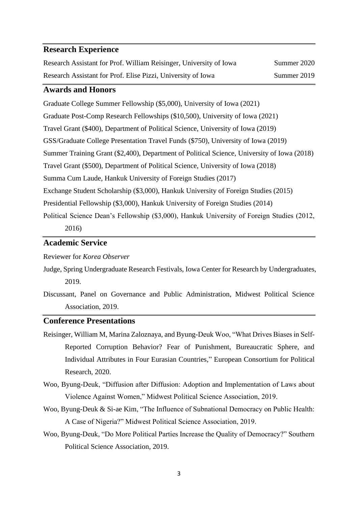#### **Research Experience**

| Research Assistant for Prof. William Reisinger, University of Iowa | Summer 2020 |
|--------------------------------------------------------------------|-------------|
| Research Assistant for Prof. Elise Pizzi, University of Iowa       | Summer 2019 |

### **Awards and Honors**

Graduate College Summer Fellowship (\$5,000), University of Iowa (2021) Graduate Post-Comp Research Fellowships (\$10,500), University of Iowa (2021) Travel Grant (\$400), Department of Political Science, University of Iowa (2019) GSS/Graduate College Presentation Travel Funds (\$750), University of Iowa (2019) Summer Training Grant (\$2,400), Department of Political Science, University of Iowa (2018) Travel Grant (\$500), Department of Political Science, University of Iowa (2018) Summa Cum Laude, Hankuk University of Foreign Studies (2017) Exchange Student Scholarship (\$3,000), Hankuk University of Foreign Studies (2015) Presidential Fellowship (\$3,000), Hankuk University of Foreign Studies (2014) Political Science Dean's Fellowship (\$3,000), Hankuk University of Foreign Studies (2012, 2016)

## **Academic Service**

Reviewer for *Korea Observer*

- Judge, Spring Undergraduate Research Festivals, Iowa Center for Research by Undergraduates, 2019.
- Discussant, Panel on Governance and Public Administration, Midwest Political Science Association, 2019.

#### **Conference Presentations**

- Reisinger, William M, Marina Zaloznaya, and Byung-Deuk Woo, "What Drives Biases in Self-Reported Corruption Behavior? Fear of Punishment, Bureaucratic Sphere, and Individual Attributes in Four Eurasian Countries," European Consortium for Political Research, 2020.
- Woo, Byung-Deuk, "Diffusion after Diffusion: Adoption and Implementation of Laws about Violence Against Women," Midwest Political Science Association, 2019.
- Woo, Byung-Deuk & Si-ae Kim, "The Influence of Subnational Democracy on Public Health: A Case of Nigeria?" Midwest Political Science Association, 2019.
- Woo, Byung-Deuk, "Do More Political Parties Increase the Quality of Democracy?" Southern Political Science Association, 2019.